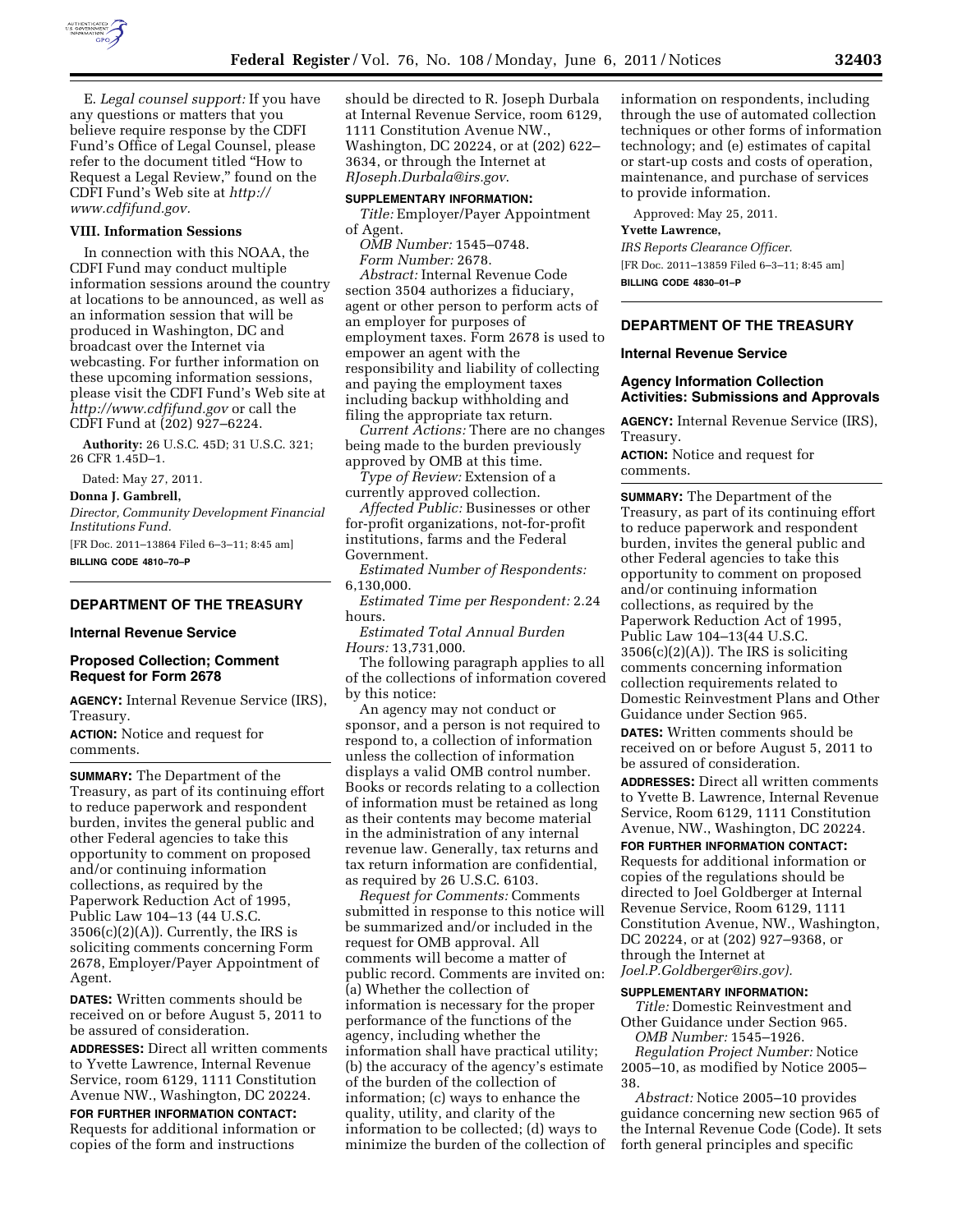

E. *Legal counsel support:* If you have any questions or matters that you believe require response by the CDFI Fund's Office of Legal Counsel, please refer to the document titled ''How to Request a Legal Review,'' found on the CDFI Fund's Web site at *[http://](http://www.cdfifund.gov)  [www.cdfifund.gov.](http://www.cdfifund.gov)* 

## **VIII. Information Sessions**

In connection with this NOAA, the CDFI Fund may conduct multiple information sessions around the country at locations to be announced, as well as an information session that will be produced in Washington, DC and broadcast over the Internet via webcasting. For further information on these upcoming information sessions, please visit the CDFI Fund's Web site at *<http://www.cdfifund.gov>* or call the CDFI Fund at (202) 927–6224.

**Authority:** 26 U.S.C. 45D; 31 U.S.C. 321; 26 CFR 1.45D–1.

Dated: May 27, 2011.

### **Donna J. Gambrell,**

*Director, Community Development Financial Institutions Fund.* 

[FR Doc. 2011–13864 Filed 6–3–11; 8:45 am] **BILLING CODE 4810–70–P** 

## **DEPARTMENT OF THE TREASURY**

## **Internal Revenue Service**

## **Proposed Collection; Comment Request for Form 2678**

**AGENCY:** Internal Revenue Service (IRS), Treasury.

**ACTION:** Notice and request for comments.

**SUMMARY:** The Department of the Treasury, as part of its continuing effort to reduce paperwork and respondent burden, invites the general public and other Federal agencies to take this opportunity to comment on proposed and/or continuing information collections, as required by the Paperwork Reduction Act of 1995, Public Law 104–13 (44 U.S.C.  $3506(c)(2)(A)$ . Currently, the IRS is soliciting comments concerning Form 2678, Employer/Payer Appointment of Agent.

**DATES:** Written comments should be received on or before August 5, 2011 to be assured of consideration.

**ADDRESSES:** Direct all written comments to Yvette Lawrence, Internal Revenue Service, room 6129, 1111 Constitution Avenue NW., Washington, DC 20224.

**FOR FURTHER INFORMATION CONTACT:**  Requests for additional information or copies of the form and instructions

should be directed to R. Joseph Durbala at Internal Revenue Service, room 6129, 1111 Constitution Avenue NW., Washington, DC 20224, or at (202) 622– 3634, or through the Internet at *[RJoseph.Durbala@irs.gov](mailto:RJoseph.Durbala@irs.gov)*.

#### **SUPPLEMENTARY INFORMATION:**

*Title:* Employer/Payer Appointment of Agent.

*OMB Number:* 1545–0748. *Form Number:* 2678.

*Abstract:* Internal Revenue Code section 3504 authorizes a fiduciary, agent or other person to perform acts of an employer for purposes of employment taxes. Form 2678 is used to empower an agent with the responsibility and liability of collecting and paying the employment taxes including backup withholding and filing the appropriate tax return.

*Current Actions:* There are no changes being made to the burden previously approved by OMB at this time.

*Type of Review:* Extension of a currently approved collection.

*Affected Public:* Businesses or other for-profit organizations, not-for-profit institutions, farms and the Federal Government.

*Estimated Number of Respondents:*  6,130,000.

*Estimated Time per Respondent:* 2.24 hours.

*Estimated Total Annual Burden Hours:* 13,731,000.

The following paragraph applies to all of the collections of information covered by this notice:

An agency may not conduct or sponsor, and a person is not required to respond to, a collection of information unless the collection of information displays a valid OMB control number. Books or records relating to a collection of information must be retained as long as their contents may become material in the administration of any internal revenue law. Generally, tax returns and tax return information are confidential, as required by 26 U.S.C. 6103.

*Request for Comments:* Comments submitted in response to this notice will be summarized and/or included in the request for OMB approval. All comments will become a matter of public record. Comments are invited on: (a) Whether the collection of information is necessary for the proper performance of the functions of the agency, including whether the information shall have practical utility; (b) the accuracy of the agency's estimate of the burden of the collection of information; (c) ways to enhance the quality, utility, and clarity of the information to be collected; (d) ways to minimize the burden of the collection of information on respondents, including through the use of automated collection techniques or other forms of information technology; and (e) estimates of capital or start-up costs and costs of operation, maintenance, and purchase of services to provide information.

Approved: May 25, 2011. **Yvette Lawrence,**  *IRS Reports Clearance Officer.*  [FR Doc. 2011–13859 Filed 6–3–11; 8:45 am] **BILLING CODE 4830–01–P** 

## **DEPARTMENT OF THE TREASURY**

### **Internal Revenue Service**

## **Agency Information Collection Activities: Submissions and Approvals**

**AGENCY:** Internal Revenue Service (IRS), Treasury.

**ACTION:** Notice and request for comments.

**SUMMARY:** The Department of the Treasury, as part of its continuing effort to reduce paperwork and respondent burden, invites the general public and other Federal agencies to take this opportunity to comment on proposed and/or continuing information collections, as required by the Paperwork Reduction Act of 1995, Public Law 104–13(44 U.S.C.  $3506(c)(2)(A)$ . The IRS is soliciting comments concerning information collection requirements related to Domestic Reinvestment Plans and Other Guidance under Section 965.

**DATES:** Written comments should be received on or before August 5, 2011 to be assured of consideration.

**ADDRESSES:** Direct all written comments to Yvette B. Lawrence, Internal Revenue Service, Room 6129, 1111 Constitution Avenue, NW., Washington, DC 20224.

#### **FOR FURTHER INFORMATION CONTACT:**

Requests for additional information or copies of the regulations should be directed to Joel Goldberger at Internal Revenue Service, Room 6129, 1111 Constitution Avenue, NW., Washington, DC 20224, or at (202) 927–9368, or through the Internet at *[Joel.P.Goldberger@irs.gov\).](mailto:Joel.P.Goldberger@irs.gov)* 

## **SUPPLEMENTARY INFORMATION:**

*Title:* Domestic Reinvestment and Other Guidance under Section 965. *OMB Number:* 1545–1926.

*Regulation Project Number:* Notice 2005–10, as modified by Notice 2005– 38.

*Abstract:* Notice 2005–10 provides guidance concerning new section 965 of the Internal Revenue Code (Code). It sets forth general principles and specific